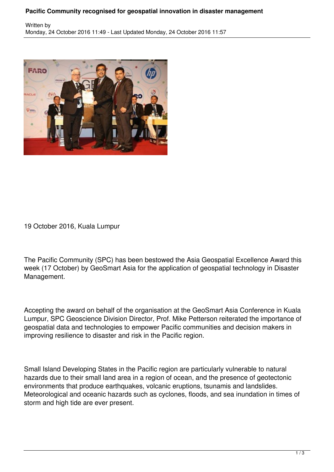## **Pacific Community recognised for geospatial innovation in disaster management**



19 October 2016, Kuala Lumpur

The Pacific Community (SPC) has been bestowed the Asia Geospatial Excellence Award this week (17 October) by GeoSmart Asia for the application of geospatial technology in Disaster Management.

Accepting the award on behalf of the organisation at the GeoSmart Asia Conference in Kuala Lumpur, SPC Geoscience Division Director, Prof. Mike Petterson reiterated the importance of geospatial data and technologies to empower Pacific communities and decision makers in improving resilience to disaster and risk in the Pacific region.

Small Island Developing States in the Pacific region are particularly vulnerable to natural hazards due to their small land area in a region of ocean, and the presence of geotectonic environments that produce earthquakes, volcanic eruptions, tsunamis and landslides. Meteorological and oceanic hazards such as cyclones, floods, and sea inundation in times of storm and high tide are ever present.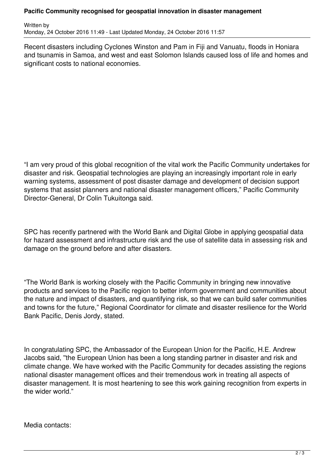## **Pacific Community recognised for geospatial innovation in disaster management**

Written by Monday, 24 October 2016 11:49 - Last Updated Monday, 24 October 2016 11:57

Recent disasters including Cyclones Winston and Pam in Fiji and Vanuatu, floods in Honiara and tsunamis in Samoa, and west and east Solomon Islands caused loss of life and homes and significant costs to national economies.

"I am very proud of this global recognition of the vital work the Pacific Community undertakes for disaster and risk. Geospatial technologies are playing an increasingly important role in early warning systems, assessment of post disaster damage and development of decision support systems that assist planners and national disaster management officers," Pacific Community Director-General, Dr Colin Tukuitonga said.

SPC has recently partnered with the World Bank and Digital Globe in applying geospatial data for hazard assessment and infrastructure risk and the use of satellite data in assessing risk and damage on the ground before and after disasters.

"The World Bank is working closely with the Pacific Community in bringing new innovative products and services to the Pacific region to better inform government and communities about the nature and impact of disasters, and quantifying risk, so that we can build safer communities and towns for the future," Regional Coordinator for climate and disaster resilience for the World Bank Pacific, Denis Jordy, stated.

In congratulating SPC, the Ambassador of the European Union for the Pacific, H.E. Andrew Jacobs said, ''the European Union has been a long standing partner in disaster and risk and climate change. We have worked with the Pacific Community for decades assisting the regions national disaster management offices and their tremendous work in treating all aspects of disaster management. It is most heartening to see this work gaining recognition from experts in the wider world."

Media contacts: